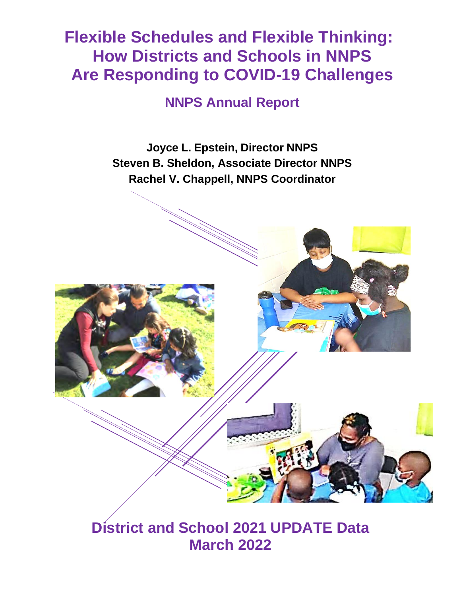# **Flexible Schedules and Flexible Thinking: How Districts and Schools in NNPS Are Responding to COVID-19 Challenges**

**NNPS Annual Report**

**Joyce L. Epstein, Director NNPS Steven B. Sheldon, Associate Director NNPS Rachel V. Chappell, NNPS Coordinator**



**District and School 2021 UPDATE Data March 2022**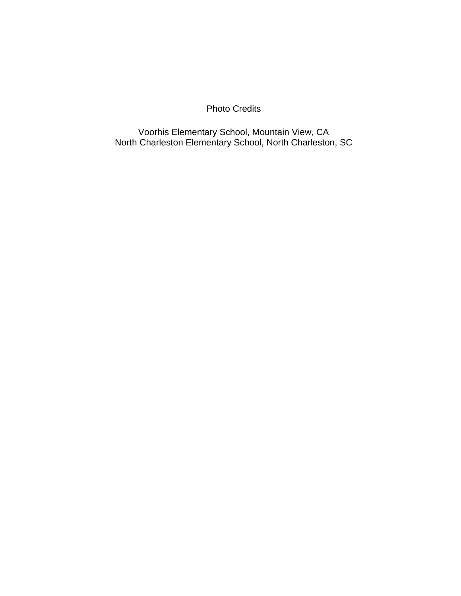Photo Credits

Voorhis Elementary School, Mountain View, CA North Charleston Elementary School, North Charleston, SC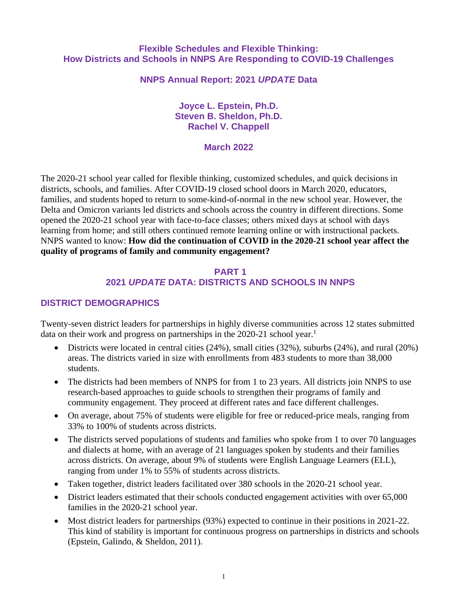#### **Flexible Schedules and Flexible Thinking: How Districts and Schools in NNPS Are Responding to COVID-19 Challenges**

#### **NNPS Annual Report: 2021** *UPDATE* **Data**

#### **Joyce L. Epstein, Ph.D. Steven B. Sheldon, Ph.D. Rachel V. Chappell**

#### **March 2022**

The 2020-21 school year called for flexible thinking, customized schedules, and quick decisions in districts, schools, and families. After COVID-19 closed school doors in March 2020, educators, families, and students hoped to return to some-kind-of-normal in the new school year. However, the Delta and Omicron variants led districts and schools across the country in different directions. Some opened the 2020-21 school year with face-to-face classes; others mixed days at school with days learning from home; and still others continued remote learning online or with instructional packets. NNPS wanted to know: **How did the continuation of COVID in the 2020-21 school year affect the quality of programs of family and community engagement?**

#### **PART 1 2021** *UPDATE* **DATA: DISTRICTS AND SCHOOLS IN NNPS**

## **DISTRICT DEMOGRAPHICS**

Twenty-seven district leaders for partnerships in highly diverse communities across 12 states submitted data on their work and progress on partnerships in the 2020-21 school year.<sup>1</sup>

- Districts were located in central cities (24%), small cities (32%), suburbs (24%), and rural (20%) areas. The districts varied in size with enrollments from 483 students to more than 38,000 students.
- The districts had been members of NNPS for from 1 to 23 years. All districts join NNPS to use research-based approaches to guide schools to strengthen their programs of family and community engagement. They proceed at different rates and face different challenges.
- On average, about 75% of students were eligible for free or reduced-price meals, ranging from 33% to 100% of students across districts.
- The districts served populations of students and families who spoke from 1 to over 70 languages and dialects at home, with an average of 21 languages spoken by students and their families across districts. On average, about 9% of students were English Language Learners (ELL), ranging from under 1% to 55% of students across districts.
- Taken together, district leaders facilitated over 380 schools in the 2020-21 school year.
- District leaders estimated that their schools conducted engagement activities with over 65,000 families in the 2020-21 school year.
- Most district leaders for partnerships (93%) expected to continue in their positions in 2021-22. This kind of stability is important for continuous progress on partnerships in districts and schools (Epstein, Galindo, & Sheldon, 2011).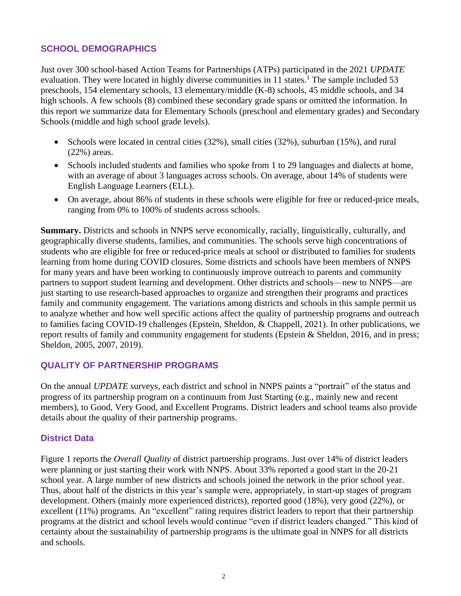### **SCHOOL DEMOGRAPHICS**

Just over 300 school-based Action Teams for Partnerships (ATPs) participated in the 2021 *UPDATE* evaluation. They were located in highly diverse communities in 11 states.<sup>1</sup> The sample included 53 preschools, 154 elementary schools, 13 elementary/middle (K-8) schools, 45 middle schools, and 34 high schools. A few schools (8) combined these secondary grade spans or omitted the information. In this report we summarize data for Elementary Schools (preschool and elementary grades) and Secondary Schools (middle and high school grade levels).

- Schools were located in central cities (32%), small cities (32%), suburban (15%), and rural (22%) areas.
- Schools included students and families who spoke from 1 to 29 languages and dialects at home, with an average of about 3 languages across schools. On average, about 14% of students were English Language Learners (ELL).
- On average, about 86% of students in these schools were eligible for free or reduced-price meals, ranging from 0% to 100% of students across schools.

**Summary.** Districts and schools in NNPS serve economically, racially, linguistically, culturally, and geographically diverse students, families, and communities. The schools serve high concentrations of students who are eligible for free or reduced-price meals at school or distributed to families for students learning from home during COVID closures. Some districts and schools have been members of NNPS for many years and have been working to continuously improve outreach to parents and community partners to support student learning and development. Other districts and schools—new to NNPS—are just starting to use research-based approaches to organize and strengthen their programs and practices family and community engagement. The variations among districts and schools in this sample permit us to analyze whether and how well specific actions affect the quality of partnership programs and outreach to families facing COVID-19 challenges (Epstein, Sheldon, & Chappell, 2021). In other publications, we report results of family and community engagement for students (Epstein & Sheldon, 2016, and in press; Sheldon, 2005, 2007, 2019).

#### **QUALITY OF PARTNERSHIP PROGRAMS**

On the annual *UPDATE* surveys, each district and school in NNPS paints a "portrait" of the status and progress of its partnership program on a continuum from Just Starting (e.g., mainly new and recent members), to Good, Very Good, and Excellent Programs. District leaders and school teams also provide details about the quality of their partnership programs.

#### **District Data**

Figure 1 reports the *Overall Quality* of district partnership programs. Just over 14% of district leaders were planning or just starting their work with NNPS. About 33% reported a good start in the 20-21 school year. A large number of new districts and schools joined the network in the prior school year. Thus, about half of the districts in this year's sample were, appropriately, in start-up stages of program development. Others (mainly more experienced districts), reported good (18%), very good (22%), or excellent (11%) programs. An "excellent" rating requires district leaders to report that their partnership programs at the district and school levels would continue "even if district leaders changed." This kind of certainty about the sustainability of partnership programs is the ultimate goal in NNPS for all districts and schools.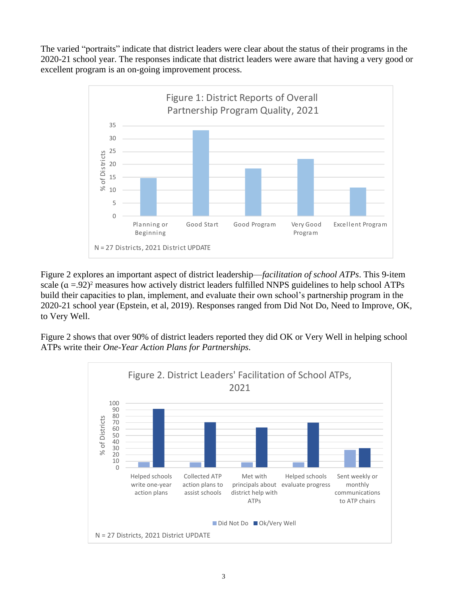The varied "portraits" indicate that district leaders were clear about the status of their programs in the 2020-21 school year. The responses indicate that district leaders were aware that having a very good or excellent program is an on-going improvement process.



Figure 2 explores an important aspect of district leadership—*facilitation of school ATPs*. This 9-item scale  $(a = .92)^2$  measures how actively district leaders fulfilled NNPS guidelines to help school ATPs build their capacities to plan, implement, and evaluate their own school's partnership program in the 2020-21 school year (Epstein, et al, 2019). Responses ranged from Did Not Do, Need to Improve, OK, to Very Well.

Figure 2 shows that over 90% of district leaders reported they did OK or Very Well in helping school ATPs write their *One-Year Action Plans for Partnerships.*

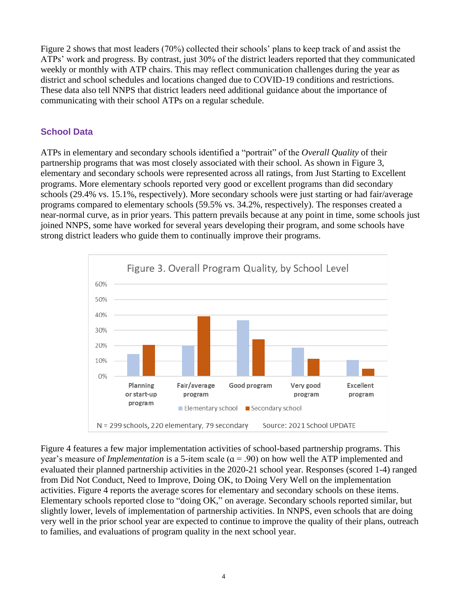Figure 2 shows that most leaders (70%) collected their schools' plans to keep track of and assist the ATPs' work and progress. By contrast, just 30% of the district leaders reported that they communicated weekly or monthly with ATP chairs. This may reflect communication challenges during the year as district and school schedules and locations changed due to COVID-19 conditions and restrictions. These data also tell NNPS that district leaders need additional guidance about the importance of communicating with their school ATPs on a regular schedule.

## **School Data**

ATPs in elementary and secondary schools identified a "portrait" of the *Overall Quality* of their partnership programs that was most closely associated with their school. As shown in Figure 3, elementary and secondary schools were represented across all ratings, from Just Starting to Excellent programs. More elementary schools reported very good or excellent programs than did secondary schools (29.4% vs. 15.1%, respectively). More secondary schools were just starting or had fair/average programs compared to elementary schools (59.5% vs. 34.2%, respectively). The responses created a near-normal curve, as in prior years. This pattern prevails because at any point in time, some schools just joined NNPS, some have worked for several years developing their program, and some schools have strong district leaders who guide them to continually improve their programs.



Figure 4 features a few major implementation activities of school-based partnership programs. This year's measure of *Implementation* is a 5-item scale  $(a = .90)$  on how well the ATP implemented and evaluated their planned partnership activities in the 2020-21 school year. Responses (scored 1-4) ranged from Did Not Conduct, Need to Improve, Doing OK, to Doing Very Well on the implementation activities. Figure 4 reports the average scores for elementary and secondary schools on these items. Elementary schools reported close to "doing OK," on average. Secondary schools reported similar, but slightly lower, levels of implementation of partnership activities. In NNPS, even schools that are doing very well in the prior school year are expected to continue to improve the quality of their plans, outreach to families, and evaluations of program quality in the next school year.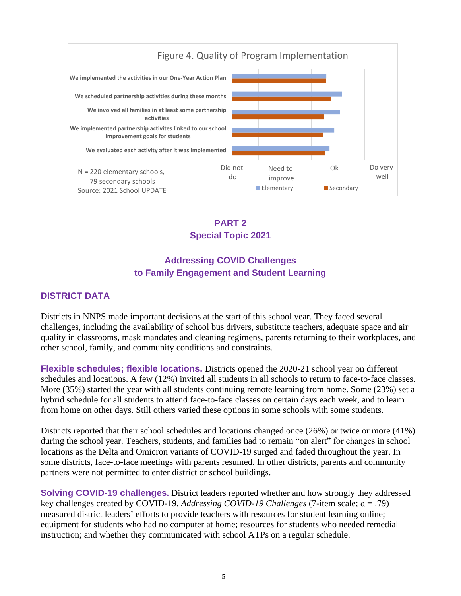



# **Addressing COVID Challenges to Family Engagement and Student Learning**

## **DISTRICT DATA**

Districts in NNPS made important decisions at the start of this school year. They faced several challenges, including the availability of school bus drivers, substitute teachers, adequate space and air quality in classrooms, mask mandates and cleaning regimens, parents returning to their workplaces, and other school, family, and community conditions and constraints.

**Flexible schedules; flexible locations.** Districts opened the 2020-21 school year on different schedules and locations. A few (12%) invited all students in all schools to return to face-to-face classes. More (35%) started the year with all students continuing remote learning from home. Some (23%) set a hybrid schedule for all students to attend face-to-face classes on certain days each week, and to learn from home on other days. Still others varied these options in some schools with some students.

Districts reported that their school schedules and locations changed once (26%) or twice or more (41%) during the school year. Teachers, students, and families had to remain "on alert" for changes in school locations as the Delta and Omicron variants of COVID-19 surged and faded throughout the year. In some districts, face-to-face meetings with parents resumed. In other districts, parents and community partners were not permitted to enter district or school buildings.

**Solving COVID-19 challenges.** District leaders reported whether and how strongly they addressed key challenges created by COVID-19. *Addressing COVID-19 Challenges* (7-item scale; ɑ = .79) measured district leaders' efforts to provide teachers with resources for student learning online; equipment for students who had no computer at home; resources for students who needed remedial instruction; and whether they communicated with school ATPs on a regular schedule.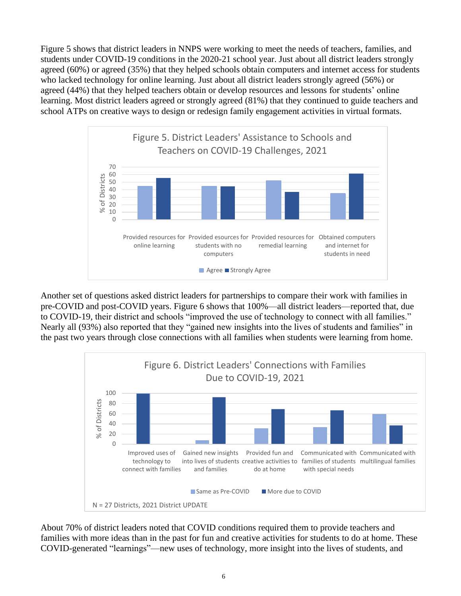Figure 5 shows that district leaders in NNPS were working to meet the needs of teachers, families, and students under COVID-19 conditions in the 2020-21 school year. Just about all district leaders strongly agreed (60%) or agreed (35%) that they helped schools obtain computers and internet access for students who lacked technology for online learning. Just about all district leaders strongly agreed (56%) or agreed (44%) that they helped teachers obtain or develop resources and lessons for students' online learning. Most district leaders agreed or strongly agreed (81%) that they continued to guide teachers and school ATPs on creative ways to design or redesign family engagement activities in virtual formats.



Another set of questions asked district leaders for partnerships to compare their work with families in pre-COVID and post-COVID years. Figure 6 shows that 100%—all district leaders—reported that, due to COVID-19, their district and schools "improved the use of technology to connect with all families." Nearly all (93%) also reported that they "gained new insights into the lives of students and families" in the past two years through close connections with all families when students were learning from home.



About 70% of district leaders noted that COVID conditions required them to provide teachers and families with more ideas than in the past for fun and creative activities for students to do at home. These COVID-generated "learnings"—new uses of technology, more insight into the lives of students, and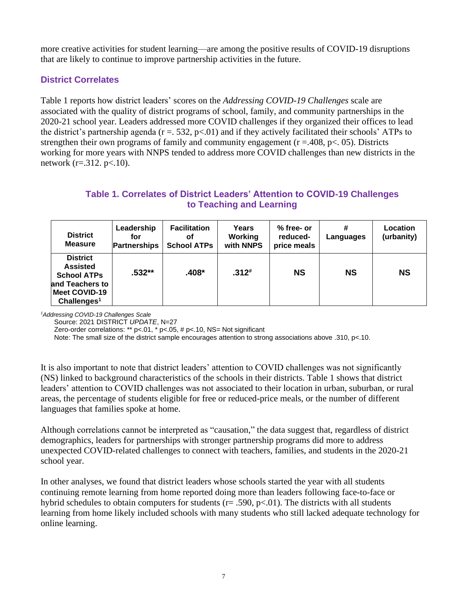more creative activities for student learning—are among the positive results of COVID-19 disruptions that are likely to continue to improve partnership activities in the future.

## **District Correlates**

Table 1 reports how district leaders' scores on the *Addressing COVID-19 Challenges* scale are associated with the quality of district programs of school, family, and community partnerships in the 2020-21 school year. Leaders addressed more COVID challenges if they organized their offices to lead the district's partnership agenda ( $r = 0.532$ ,  $p < 0.01$ ) and if they actively facilitated their schools' ATPs to strengthen their own programs of family and community engagement ( $r = .408$ ,  $p < .05$ ). Districts working for more years with NNPS tended to address more COVID challenges than new districts in the network (r=.312. p<.10).

## **Table 1. Correlates of District Leaders' Attention to COVID-19 Challenges to Teaching and Learning**

| <b>District</b><br><b>Measure</b>                                                                                       | Leadership<br>for<br><b>Partnerships</b> | <b>Facilitation</b><br>οf<br><b>School ATPs</b> | Years<br>Working<br>with NNPS | $%$ free- or<br>reduced-<br>price meals | #<br>Languages | Location<br>(urbanity) |
|-------------------------------------------------------------------------------------------------------------------------|------------------------------------------|-------------------------------------------------|-------------------------------|-----------------------------------------|----------------|------------------------|
| <b>District</b><br><b>Assisted</b><br><b>School ATPs</b><br>and Teachers to<br>Meet COVID-19<br>Challenges <sup>1</sup> | $.532**$                                 | .408*                                           | $.312*$                       | <b>NS</b>                               | <b>NS</b>      | <b>NS</b>              |

*<sup>1</sup>Addressing COVID-19 Challenges Scale*

Source: 2021 DISTRICT *UPDATE*, N=27

Zero-order correlations: \*\* p<.01, \* p<.05, # p<.10, NS= Not significant

Note: The small size of the district sample encourages attention to strong associations above .310, p<.10.

It is also important to note that district leaders' attention to COVID challenges was not significantly (NS) linked to background characteristics of the schools in their districts. Table 1 shows that district leaders' attention to COVID challenges was not associated to their location in urban, suburban, or rural areas, the percentage of students eligible for free or reduced-price meals, or the number of different languages that families spoke at home.

Although correlations cannot be interpreted as "causation," the data suggest that, regardless of district demographics, leaders for partnerships with stronger partnership programs did more to address unexpected COVID-related challenges to connect with teachers, families, and students in the 2020-21 school year.

In other analyses, we found that district leaders whose schools started the year with all students continuing remote learning from home reported doing more than leaders following face-to-face or hybrid schedules to obtain computers for students ( $r = .590$ ,  $p < .01$ ). The districts with all students learning from home likely included schools with many students who still lacked adequate technology for online learning.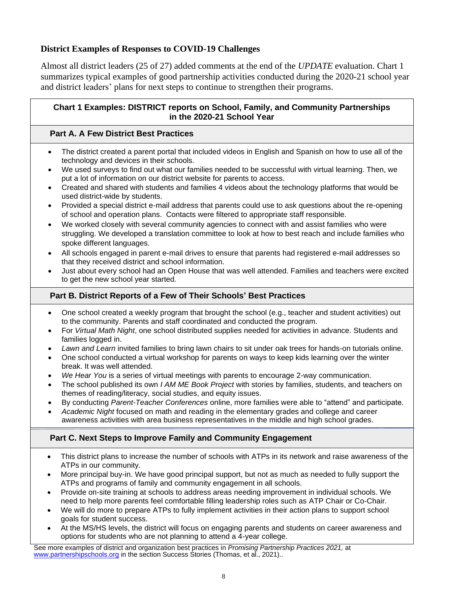## **District Examples of Responses to COVID-19 Challenges**

Almost all district leaders (25 of 27) added comments at the end of the *UPDATE* evaluation. Chart 1 summarizes typical examples of good partnership activities conducted during the 2020-21 school year and district leaders' plans for next steps to continue to strengthen their programs.

#### **Chart 1 Examples: DISTRICT reports on School, Family, and Community Partnerships in the 2020-21 School Year**

## **Part A. A Few District Best Practices**

- The district created a parent portal that included videos in English and Spanish on how to use all of the technology and devices in their schools.
- We used surveys to find out what our families needed to be successful with virtual learning. Then, we put a lot of information on our district website for parents to access.
- Created and shared with students and families 4 videos about the technology platforms that would be used district-wide by students.
- Provided a special district e-mail address that parents could use to ask questions about the re-opening of school and operation plans. Contacts were filtered to appropriate staff responsible.
- We worked closely with several community agencies to connect with and assist families who were struggling. We developed a translation committee to look at how to best reach and include families who spoke different languages.
- All schools engaged in parent e-mail drives to ensure that parents had registered e-mail addresses so that they received district and school information.
- Just about every school had an Open House that was well attended. Families and teachers were excited to get the new school year started.

#### **Part B. District Reports of a Few of Their Schools' Best Practices**

- One school created a weekly program that brought the school (e.g., teacher and student activities) out to the community. Parents and staff coordinated and conducted the program.
- For *Virtual Math Night*, one school distributed supplies needed for activities in advance. Students and families logged in.
- *Lawn and Learn* invited families to bring lawn chairs to sit under oak trees for hands-on tutorials online.
- One school conducted a virtual workshop for parents on ways to keep kids learning over the winter break. It was well attended.
- *We Hear You* is a series of virtual meetings with parents to encourage 2-way communication.
- The school published its own *I AM ME Book Project* with stories by families, students, and teachers on themes of reading/literacy, social studies, and equity issues.
- By conducting *Parent-Teacher Conferences* online, more families were able to "attend" and participate.
- *Academic Night* focused on math and reading in the elementary grades and college and career awareness activities with area business representatives in the middle and high school grades.

#### **Part C. Next Steps to Improve Family and Community Engagement**

- This district plans to increase the number of schools with ATPs in its network and raise awareness of the ATPs in our community.
- More principal buy-in. We have good principal support, but not as much as needed to fully support the ATPs and programs of family and community engagement in all schools.
- Provide on-site training at schools to address areas needing improvement in individual schools. We need to help more parents feel comfortable filling leadership roles such as ATP Chair or Co-Chair.
- We will do more to prepare ATPs to fully implement activities in their action plans to support school goals for student success.
- At the MS/HS levels, the district will focus on engaging parents and students on career awareness and options for students who are not planning to attend a 4-year college.

See more examples of district and organization best practices in *Promising Partnership Practices 2021,* at [www.partnershipschools.org](http://www.partnershipschools.org/) in the section Success Stories (Thomas, et al., 2021)..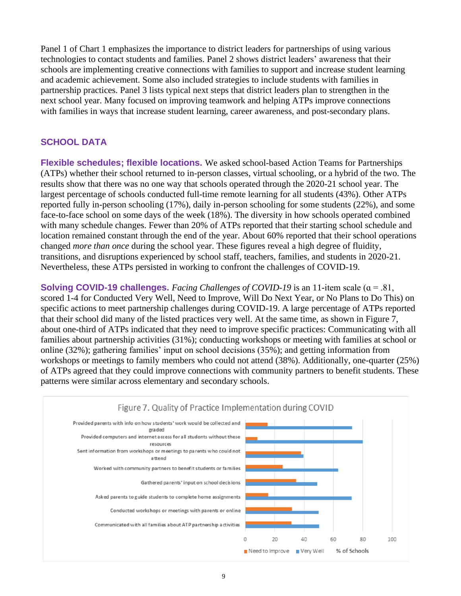Panel 1 of Chart 1 emphasizes the importance to district leaders for partnerships of using various technologies to contact students and families. Panel 2 shows district leaders' awareness that their schools are implementing creative connections with families to support and increase student learning and academic achievement. Some also included strategies to include students with families in partnership practices. Panel 3 lists typical next steps that district leaders plan to strengthen in the next school year. Many focused on improving teamwork and helping ATPs improve connections with families in ways that increase student learning, career awareness, and post-secondary plans.

## **SCHOOL DATA**

**Flexible schedules; flexible locations.** We asked school-based Action Teams for Partnerships (ATPs) whether their school returned to in-person classes, virtual schooling, or a hybrid of the two. The results show that there was no one way that schools operated through the 2020-21 school year. The largest percentage of schools conducted full-time remote learning for all students (43%). Other ATPs reported fully in-person schooling (17%), daily in-person schooling for some students (22%), and some face-to-face school on some days of the week (18%). The diversity in how schools operated combined with many schedule changes. Fewer than 20% of ATPs reported that their starting school schedule and location remained constant through the end of the year. About 60% reported that their school operations changed *more than once* during the school year. These figures reveal a high degree of fluidity, transitions, and disruptions experienced by school staff, teachers, families, and students in 2020-21. Nevertheless, these ATPs persisted in working to confront the challenges of COVID-19.

**Solving COVID-19 challenges.** *Facing Challenges of COVID-19* is an 11-item scale (ɑ = .81, scored 1-4 for Conducted Very Well, Need to Improve, Will Do Next Year, or No Plans to Do This) on specific actions to meet partnership challenges during COVID-19. A large percentage of ATPs reported that their school did many of the listed practices very well. At the same time, as shown in Figure 7, about one-third of ATPs indicated that they need to improve specific practices: Communicating with all families about partnership activities (31%); conducting workshops or meeting with families at school or online (32%); gathering families' input on school decisions (35%); and getting information from workshops or meetings to family members who could not attend (38%). Additionally, one-quarter (25%) of ATPs agreed that they could improve connections with community partners to benefit students. These patterns were similar across elementary and secondary schools.

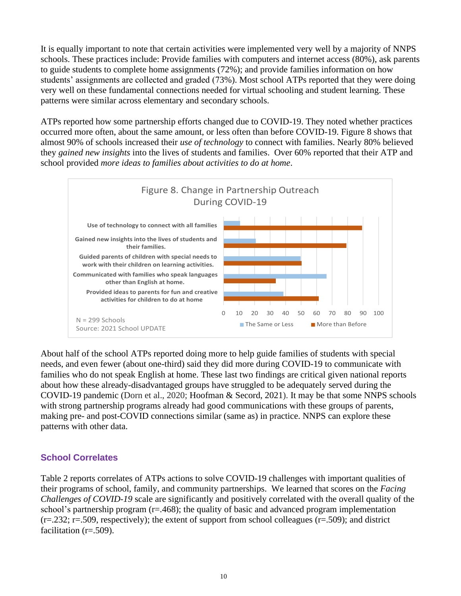It is equally important to note that certain activities were implemented very well by a majority of NNPS schools. These practices include: Provide families with computers and internet access (80%), ask parents to guide students to complete home assignments (72%); and provide families information on how students' assignments are collected and graded (73%). Most school ATPs reported that they were doing very well on these fundamental connections needed for virtual schooling and student learning. These patterns were similar across elementary and secondary schools.

ATPs reported how some partnership efforts changed due to COVID-19. They noted whether practices occurred more often, about the same amount, or less often than before COVID-19. Figure 8 shows that almost 90% of schools increased their *use of technology* to connect with families. Nearly 80% believed they *gained new insights* into the lives of students and families. Over 60% reported that their ATP and school provided *more ideas to families about activities to do at home*.



About half of the school ATPs reported doing more to help guide families of students with special needs, and even fewer (about one-third) said they did more during COVID-19 to communicate with families who do not speak English at home. These last two findings are critical given national reports about how these already-disadvantaged groups have struggled to be adequately served during the COVID-19 pandemic (Dorn et al., 2020; Hoofman & Secord, 2021). It may be that some NNPS schools with strong partnership programs already had good communications with these groups of parents, making pre- and post-COVID connections similar (same as) in practice. NNPS can explore these patterns with other data.

## **School Correlates**

Table 2 reports correlates of ATPs actions to solve COVID-19 challenges with important qualities of their programs of school, family, and community partnerships. We learned that scores on the *Facing Challenges of COVID-19* scale are significantly and positively correlated with the overall quality of the school's partnership program  $(r=.468)$ ; the quality of basic and advanced program implementation  $(r=.232; r=.509$ , respectively); the extent of support from school colleagues  $(r=.509)$ ; and district facilitation (r=.509).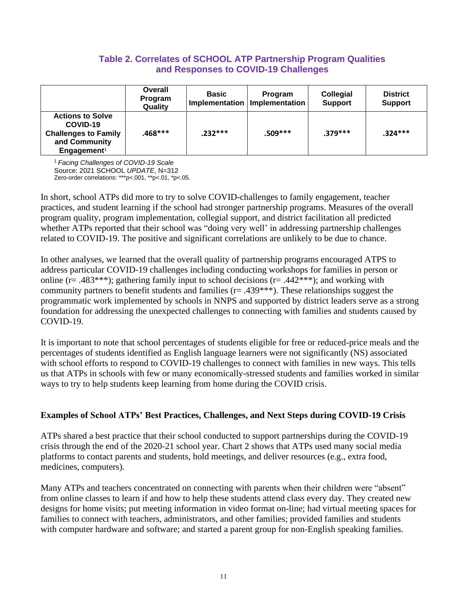## **Table 2. Correlates of SCHOOL ATP Partnership Program Qualities and Responses to COVID-19 Challenges**

|                                                                                                                | Overall<br><b>Program</b><br>Quality | <b>Basic</b> | <b>Program</b><br>Implementation   Implementation | <b>Collegial</b><br><b>Support</b> | <b>District</b><br><b>Support</b> |
|----------------------------------------------------------------------------------------------------------------|--------------------------------------|--------------|---------------------------------------------------|------------------------------------|-----------------------------------|
| <b>Actions to Solve</b><br>COVID-19<br><b>Challenges to Family</b><br>and Community<br>Engagement <sup>1</sup> | .468***                              | $.232***$    | $.509***$                                         | $.379***$                          | $.324***$                         |

<sup>1</sup>*Facing Challenges of COVID-19 Scale* Source: 2021 SCHOOL *UPDATE*, N=312 Zero-order correlations: \*\*\*p<.001, \*\*p<.01, \*p<.05.

In short, school ATPs did more to try to solve COVID-challenges to family engagement, teacher practices, and student learning if the school had stronger partnership programs. Measures of the overall program quality, program implementation, collegial support, and district facilitation all predicted whether ATPs reported that their school was "doing very well' in addressing partnership challenges related to COVID-19. The positive and significant correlations are unlikely to be due to chance.

In other analyses, we learned that the overall quality of partnership programs encouraged ATPS to address particular COVID-19 challenges including conducting workshops for families in person or online ( $r = .483***$ ); gathering family input to school decisions ( $r = .442***$ ); and working with community partners to benefit students and families ( $r = .439***$ ). These relationships suggest the programmatic work implemented by schools in NNPS and supported by district leaders serve as a strong foundation for addressing the unexpected challenges to connecting with families and students caused by COVID-19.

It is important to note that school percentages of students eligible for free or reduced-price meals and the percentages of students identified as English language learners were not significantly (NS) associated with school efforts to respond to COVID-19 challenges to connect with families in new ways. This tells us that ATPs in schools with few or many economically-stressed students and families worked in similar ways to try to help students keep learning from home during the COVID crisis.

#### **Examples of School ATPs' Best Practices, Challenges, and Next Steps during COVID-19 Crisis**

ATPs shared a best practice that their school conducted to support partnerships during the COVID-19 crisis through the end of the 2020-21 school year. Chart 2 shows that ATPs used many social media platforms to contact parents and students, hold meetings, and deliver resources (e.g., extra food, medicines, computers).

Many ATPs and teachers concentrated on connecting with parents when their children were "absent" from online classes to learn if and how to help these students attend class every day. They created new designs for home visits; put meeting information in video format on-line; had virtual meeting spaces for families to connect with teachers, administrators, and other families; provided families and students with computer hardware and software; and started a parent group for non-English speaking families.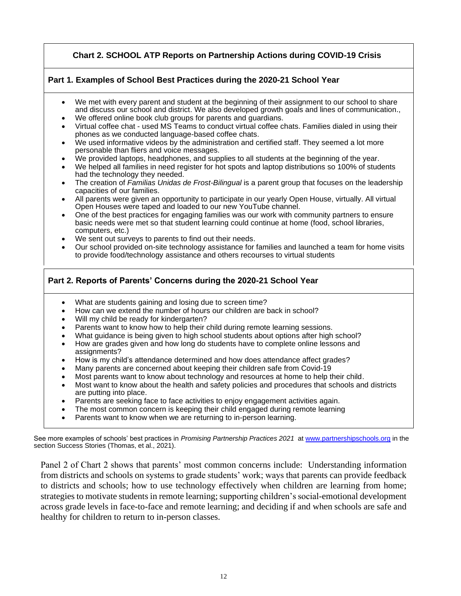#### **Chart 2. SCHOOL ATP Reports on Partnership Actions during COVID-19 Crisis**

#### **Part 1. Examples of School Best Practices during the 2020-21 School Year**

- We met with every parent and student at the beginning of their assignment to our school to share and discuss our school and district. We also developed growth goals and lines of communication.,
- We offered online book club groups for parents and guardians.
- Virtual coffee chat used MS Teams to conduct virtual coffee chats. Families dialed in using their phones as we conducted language-based coffee chats.
- We used informative videos by the administration and certified staff. They seemed a lot more personable than fliers and voice messages.
- We provided laptops, headphones, and supplies to all students at the beginning of the year.
- We helped all families in need register for hot spots and laptop distributions so 100% of students had the technology they needed.
- The creation of *Familias Unidas de Frost-Bilingual* is a parent group that focuses on the leadership capacities of our families.
- All parents were given an opportunity to participate in our yearly Open House, virtually. All virtual Open Houses were taped and loaded to our new YouTube channel.
- One of the best practices for engaging families was our work with community partners to ensure basic needs were met so that student learning could continue at home (food, school libraries, computers, etc.)
- We sent out surveys to parents to find out their needs.
- Our school provided on-site technology assistance for families and launched a team for home visits to provide food/technology assistance and others recourses to virtual students

#### **Part 2. Reports of Parents' Concerns during the 2020-21 School Year**

- What are students gaining and losing due to screen time?
- How can we extend the number of hours our children are back in school?
- Will my child be ready for kindergarten?
- Parents want to know how to help their child during remote learning sessions.
- What guidance is being given to high school students about options after high school?
- How are grades given and how long do students have to complete online lessons and assignments?
- How is my child's attendance determined and how does attendance affect grades?
- Many parents are concerned about keeping their children safe from Covid-19
- Most parents want to know about technology and resources at home to help their child.
- Most want to know about the health and safety policies and procedures that schools and districts are putting into place.
- Parents are seeking face to face activities to enjoy engagement activities again.
- The most common concern is keeping their child engaged during remote learning
- Parents want to know when we are returning to in-person learning.

See more examples of schools' best practices in *Promising Partnership Practices 2021* a[t www.partnershipschools.org](http://www.partnershipschools.org/) in the section Success Stories (Thomas, et al., 2021).

Panel 2 of Chart 2 shows that parents' most common concerns include: Understanding information from districts and schools on systems to grade students' work; ways that parents can provide feedback to districts and schools; how to use technology effectively when children are learning from home; strategies to motivate students in remote learning; supporting children's social-emotional development across grade levels in face-to-face and remote learning; and deciding if and when schools are safe and healthy for children to return to in-person classes.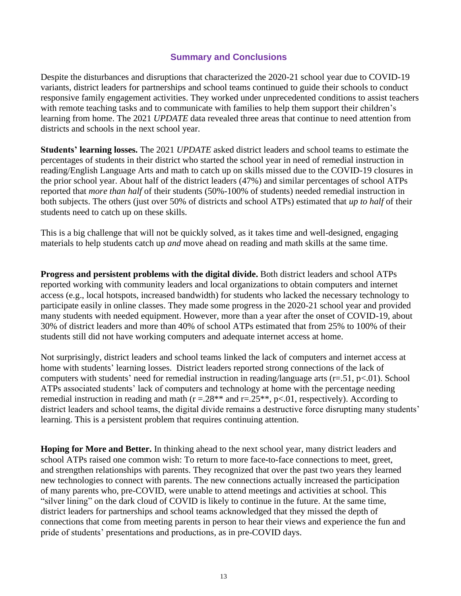## **Summary and Conclusions**

Despite the disturbances and disruptions that characterized the 2020-21 school year due to COVID-19 variants, district leaders for partnerships and school teams continued to guide their schools to conduct responsive family engagement activities. They worked under unprecedented conditions to assist teachers with remote teaching tasks and to communicate with families to help them support their children's learning from home. The 2021 *UPDATE* data revealed three areas that continue to need attention from districts and schools in the next school year.

**Students' learning losses.** The 2021 *UPDATE* asked district leaders and school teams to estimate the percentages of students in their district who started the school year in need of remedial instruction in reading/English Language Arts and math to catch up on skills missed due to the COVID-19 closures in the prior school year. About half of the district leaders (47%) and similar percentages of school ATPs reported that *more than half* of their students (50%-100% of students) needed remedial instruction in both subjects. The others (just over 50% of districts and school ATPs) estimated that *up to half* of their students need to catch up on these skills.

This is a big challenge that will not be quickly solved, as it takes time and well-designed, engaging materials to help students catch up *and* move ahead on reading and math skills at the same time.

**Progress and persistent problems with the digital divide.** Both district leaders and school ATPs reported working with community leaders and local organizations to obtain computers and internet access (e.g., local hotspots, increased bandwidth) for students who lacked the necessary technology to participate easily in online classes. They made some progress in the 2020-21 school year and provided many students with needed equipment. However, more than a year after the onset of COVID-19, about 30% of district leaders and more than 40% of school ATPs estimated that from 25% to 100% of their students still did not have working computers and adequate internet access at home.

Not surprisingly, district leaders and school teams linked the lack of computers and internet access at home with students' learning losses. District leaders reported strong connections of the lack of computers with students' need for remedial instruction in reading/language arts ( $r=51$ ,  $p<01$ ). School ATPs associated students' lack of computers and technology at home with the percentage needing remedial instruction in reading and math ( $r = 28**$  and  $r = 25**$ ,  $p < 01$ , respectively). According to district leaders and school teams, the digital divide remains a destructive force disrupting many students' learning. This is a persistent problem that requires continuing attention.

**Hoping for More and Better.** In thinking ahead to the next school year, many district leaders and school ATPs raised one common wish: To return to more face-to-face connections to meet, greet, and strengthen relationships with parents. They recognized that over the past two years they learned new technologies to connect with parents. The new connections actually increased the participation of many parents who, pre-COVID, were unable to attend meetings and activities at school. This "silver lining" on the dark cloud of COVID is likely to continue in the future. At the same time, district leaders for partnerships and school teams acknowledged that they missed the depth of connections that come from meeting parents in person to hear their views and experience the fun and pride of students' presentations and productions, as in pre-COVID days.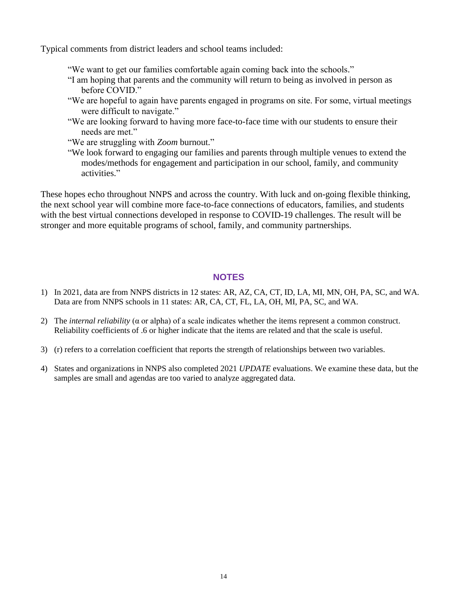Typical comments from district leaders and school teams included:

- "We want to get our families comfortable again coming back into the schools."
- "I am hoping that parents and the community will return to being as involved in person as before COVID."
- "We are hopeful to again have parents engaged in programs on site. For some, virtual meetings were difficult to navigate."
- "We are looking forward to having more face-to-face time with our students to ensure their needs are met."
- "We are struggling with *Zoom* burnout."
- "We look forward to engaging our families and parents through multiple venues to extend the modes/methods for engagement and participation in our school, family, and community activities."

These hopes echo throughout NNPS and across the country. With luck and on-going flexible thinking, the next school year will combine more face-to-face connections of educators, families, and students with the best virtual connections developed in response to COVID-19 challenges. The result will be stronger and more equitable programs of school, family, and community partnerships.

#### **NOTES**

- 1) In 2021, data are from NNPS districts in 12 states: AR, AZ, CA, CT, ID, LA, MI, MN, OH, PA, SC, and WA. Data are from NNPS schools in 11 states: AR, CA, CT, FL, LA, OH, MI, PA, SC, and WA.
- 2) The *internal reliability* (α or alpha) of a scale indicates whether the items represent a common construct. Reliability coefficients of .6 or higher indicate that the items are related and that the scale is useful.
- 3) (r) refers to a correlation coefficient that reports the strength of relationships between two variables.
- 4) States and organizations in NNPS also completed 2021 *UPDATE* evaluations. We examine these data, but the samples are small and agendas are too varied to analyze aggregated data.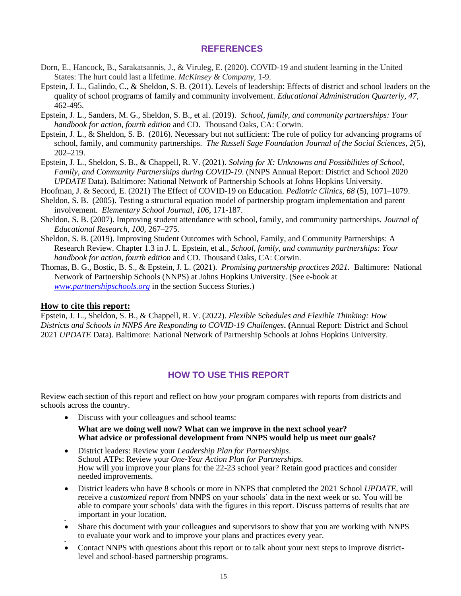#### **REFERENCES**

- Dorn, E., Hancock, B., Sarakatsannis, J., & Viruleg, E. (2020). COVID-19 and student learning in the United States: The hurt could last a lifetime. *McKinsey & Company,* 1-9.
- Epstein, J. L., Galindo, C., & Sheldon, S. B. (2011). Levels of leadership: Effects of district and school leaders on the quality of school programs of family and community involvement. *Educational Administration Quarterly, 47,* 462-495.
- Epstein, J. L., Sanders, M. G., Sheldon, S. B., et al. (2019). *School, family, and community partnerships: Your handbook for action, fourth edition* and CD. Thousand Oaks, CA: Corwin.
- Epstein, J. L., & Sheldon, S. B. (2016). Necessary but not sufficient: The role of policy for advancing programs of school, family, and community partnerships. *The Russell Sage Foundation Journal of the Social Sciences*, *2*(5)*,*  202–219.
- Epstein, J. L., Sheldon, S. B., & Chappell, R. V. (2021). *Solving for X: Unknowns and Possibilities of School, Family, and Community Partnerships during COVID-19*. (NNPS Annual Report: District and School 2020 *UPDATE* Data). Baltimore: National Network of Partnership Schools at Johns Hopkins University.
- Hoofman, J. & Secord, E. (2021) The Effect of COVID-19 on Education. *Pediatric Clinics, 68* (5), 1071–1079.
- Sheldon, S. B. (2005). Testing a structural equation model of partnership program implementation and parent involvement. *Elementary School Journal*, *106*, 171-187.
- Sheldon, S. B. (2007). Improving student attendance with school, family, and community partnerships. *Journal of Educational Research, 100,* 267–275.
- Sheldon, S. B. (2019). Improving Student Outcomes with School, Family, and Community Partnerships: A Research Review. Chapter 1.3 in J. L. Epstein, et al., *School, family, and community partnerships: Your handbook for action, fourth edition* and CD. Thousand Oaks, CA: Corwin.
- Thomas, B. G., Bostic, B. S., & Epstein, J. L. (2021). *Promising partnership practices 2021.* Baltimore: National Network of Partnership Schools (NNPS) at Johns Hopkins University. (See e-book at *[www.partnershipschools.org](http://www.partnershipschools.org/)* in the section Success Stories.)

#### **How to cite this report:**

Epstein, J. L., Sheldon, S. B., & Chappell, R. V. (2022). *Flexible Schedules and Flexible Thinking: How Districts and Schools in NNPS Are Responding to COVID-19 Challenges***. (**Annual Report: District and School 2021 *UPDATE* Data). Baltimore: National Network of Partnership Schools at Johns Hopkins University.

#### **HOW TO USE THIS REPORT**

Review each section of this report and reflect on how *your* program compares with reports from districts and schools across the country.

• Discuss with your colleagues and school teams:

**What are we doing well now? What can we improve in the next school year? What advice or professional development from NNPS would help us meet our goals?** 

- District leaders: Review your *Leadership Plan for Partnerships*. School ATPs: Review your *One-Year Action Plan for Partnerships.* How will you improve your plans for the 22-23 school year? Retain good practices and consider needed improvements.
- District leaders who have 8 schools or more in NNPS that completed the 2021 School *UPDATE*, will receive a *customized report* from NNPS on your schools' data in the next week or so. You will be able to compare your schools' data with the figures in this report. Discuss patterns of results that are important in your location.
- • Share this document with your colleagues and supervisors to show that you are working with NNPS to evaluate your work and to improve your plans and practices every year.
- • Contact NNPS with questions about this report or to talk about your next steps to improve districtlevel and school-based partnership programs.